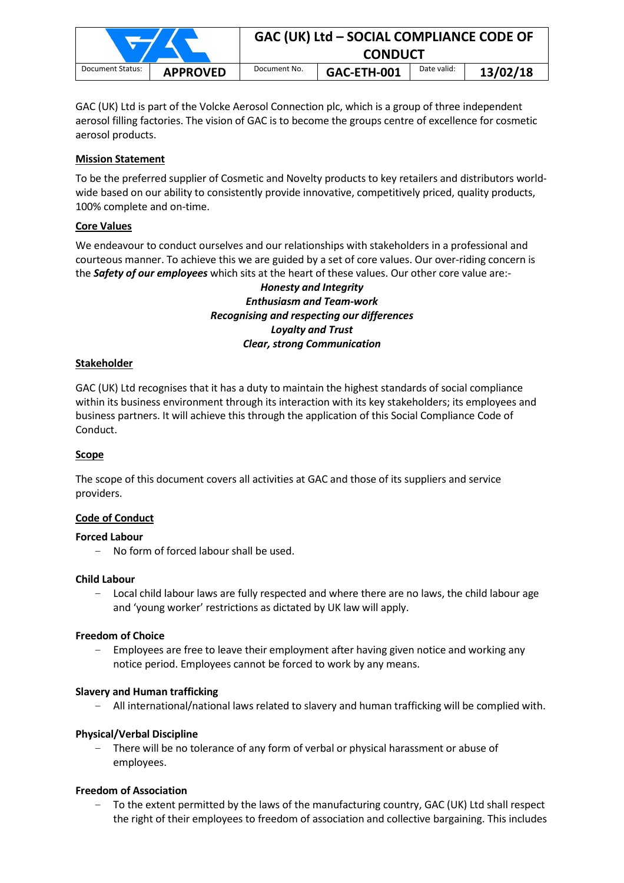|                  |                 | GAC (UK) Ltd - SOCIAL COMPLIANCE CODE OF<br><b>CONDUCT</b> |             |             |          |  |
|------------------|-----------------|------------------------------------------------------------|-------------|-------------|----------|--|
| Document Status: | <b>APPROVED</b> | Document No.                                               | GAC-ETH-001 | Date valid: | 13/02/18 |  |

GAC (UK) Ltd is part of the Volcke Aerosol Connection plc, which is a group of three independent aerosol filling factories. The vision of GAC is to become the groups centre of excellence for cosmetic aerosol products.

## **Mission Statement**

To be the preferred supplier of Cosmetic and Novelty products to key retailers and distributors worldwide based on our ability to consistently provide innovative, competitively priced, quality products, 100% complete and on-time.

## **Core Values**

We endeavour to conduct ourselves and our relationships with stakeholders in a professional and courteous manner. To achieve this we are guided by a set of core values. Our over-riding concern is the *Safety of our employees* which sits at the heart of these values. Our other core value are:-

# *Honesty and Integrity Enthusiasm and Team-work Recognising and respecting our differences Loyalty and Trust Clear, strong Communication*

#### **Stakeholder**

GAC (UK) Ltd recognises that it has a duty to maintain the highest standards of social compliance within its business environment through its interaction with its key stakeholders; its employees and business partners. It will achieve this through the application of this Social Compliance Code of Conduct.

#### **Scope**

The scope of this document covers all activities at GAC and those of its suppliers and service providers.

#### **Code of Conduct**

#### **Forced Labour**

- No form of forced labour shall be used.

#### **Child Labour**

Local child labour laws are fully respected and where there are no laws, the child labour age and 'young worker' restrictions as dictated by UK law will apply.

#### **Freedom of Choice**

- Employees are free to leave their employment after having given notice and working any notice period. Employees cannot be forced to work by any means.

#### **Slavery and Human trafficking**

- All international/national laws related to slavery and human trafficking will be complied with.

#### **Physical/Verbal Discipline**

There will be no tolerance of any form of verbal or physical harassment or abuse of employees.

#### **Freedom of Association**

- To the extent permitted by the laws of the manufacturing country, GAC (UK) Ltd shall respect the right of their employees to freedom of association and collective bargaining. This includes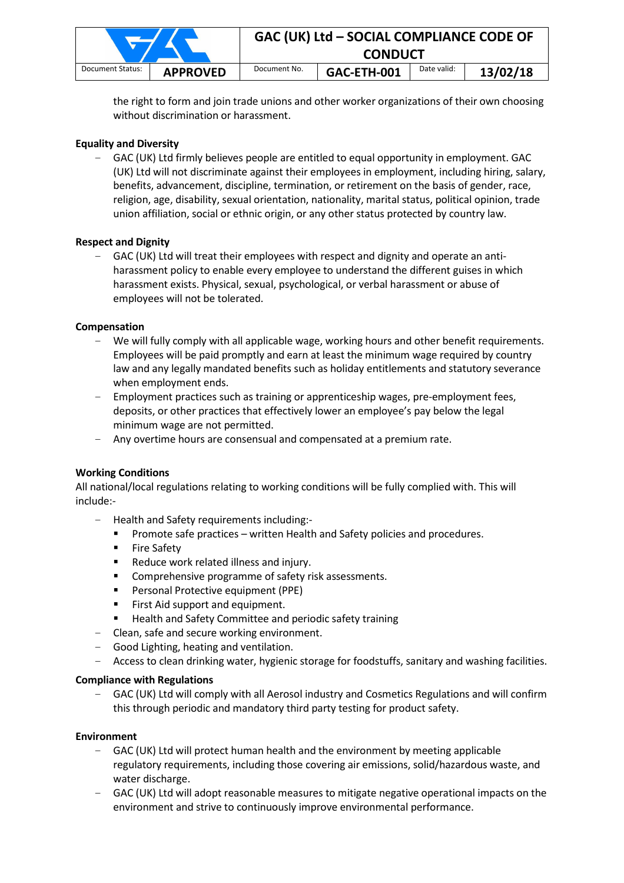|                  |                 | GAC (UK) Ltd - SOCIAL COMPLIANCE CODE OF<br><b>CONDUCT</b> |             |             |          |  |
|------------------|-----------------|------------------------------------------------------------|-------------|-------------|----------|--|
| Document Status: | <b>APPROVED</b> | Document No.                                               | GAC-ETH-001 | Date valid: | 13/02/18 |  |

the right to form and join trade unions and other worker organizations of their own choosing without discrimination or harassment.

## **Equality and Diversity**

- GAC (UK) Ltd firmly believes people are entitled to equal opportunity in employment. GAC (UK) Ltd will not discriminate against their employees in employment, including hiring, salary, benefits, advancement, discipline, termination, or retirement on the basis of gender, race, religion, age, disability, sexual orientation, nationality, marital status, political opinion, trade union affiliation, social or ethnic origin, or any other status protected by country law.

#### **Respect and Dignity**

- GAC (UK) Ltd will treat their employees with respect and dignity and operate an antiharassment policy to enable every employee to understand the different guises in which harassment exists. Physical, sexual, psychological, or verbal harassment or abuse of employees will not be tolerated.

## **Compensation**

- We will fully comply with all applicable wage, working hours and other benefit requirements. Employees will be paid promptly and earn at least the minimum wage required by country law and any legally mandated benefits such as holiday entitlements and statutory severance when employment ends.
- Employment practices such as training or apprenticeship wages, pre-employment fees, deposits, or other practices that effectively lower an employee's pay below the legal minimum wage are not permitted.
- Any overtime hours are consensual and compensated at a premium rate.

# **Working Conditions**

All national/local regulations relating to working conditions will be fully complied with. This will include:-

- Health and Safety requirements including:-
	- Promote safe practices written Health and Safety policies and procedures.
	- **Fire Safety**
	- Reduce work related illness and injury.
	- **EXECOMPTER IN EXECUTE:** Comprehensive programme of safety risk assessments.
	- **Personal Protective equipment (PPE)**
	- First Aid support and equipment.
	- Health and Safety Committee and periodic safety training
- Clean, safe and secure working environment.
- Good Lighting, heating and ventilation.
- Access to clean drinking water, hygienic storage for foodstuffs, sanitary and washing facilities.

#### **Compliance with Regulations**

- GAC (UK) Ltd will comply with all Aerosol industry and Cosmetics Regulations and will confirm this through periodic and mandatory third party testing for product safety.

#### **Environment**

- GAC (UK) Ltd will protect human health and the environment by meeting applicable regulatory requirements, including those covering air emissions, solid/hazardous waste, and water discharge.
- GAC (UK) Ltd will adopt reasonable measures to mitigate negative operational impacts on the environment and strive to continuously improve environmental performance.